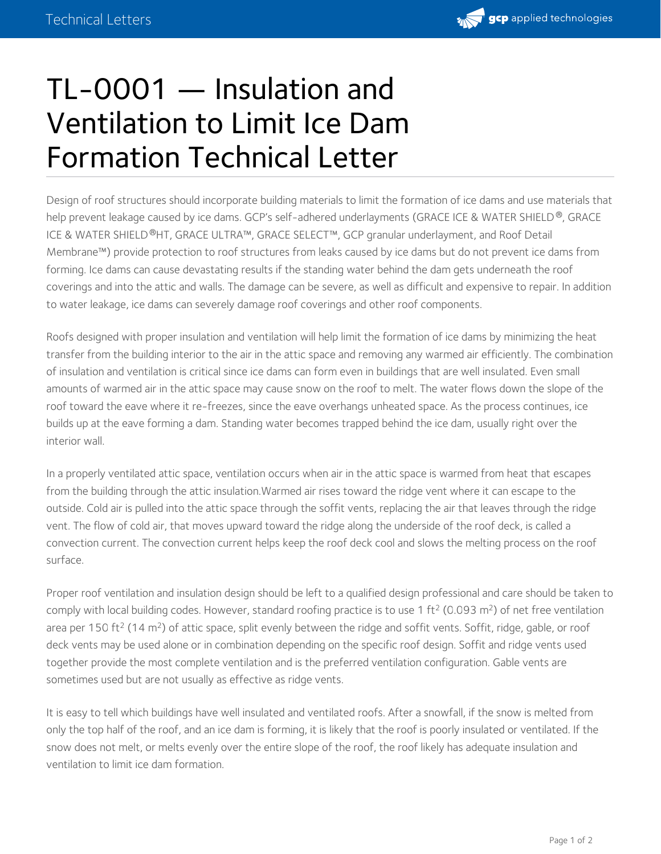

## TL-0001 — Insulation and Ventilation to Limit Ice Dam Formation Technical Letter

Design of roof structures should incorporate building materials to limit the formation of ice dams and use materials that help prevent leakage caused by ice dams. GCP's self-adhered underlayments (GRACE ICE & WATER SHIELD®, GRACE ICE & WATER SHIELD®HT, GRACE ULTRA™, GRACE SELECT™, GCP granular underlayment, and Roof Detail Membrane™) provide protection to roof structures from leaks caused by ice dams but do not prevent ice dams from forming. Ice dams can cause devastating results if the standing water behind the dam gets underneath the roof coverings and into the attic and walls. The damage can be severe, as well as difficult and expensive to repair. In addition to water leakage, ice dams can severely damage roof coverings and other roof components.

Roofs designed with proper insulation and ventilation will help limit the formation of ice dams by minimizing the heat transfer from the building interior to the air in the attic space and removing any warmed air efficiently. The combination of insulation and ventilation is critical since ice dams can form even in buildings that are well insulated. Even small amounts of warmed air in the attic space may cause snow on the roof to melt. The water flows down the slope of the roof toward the eave where it re-freezes, since the eave overhangs unheated space. As the process continues, ice builds up at the eave forming a dam. Standing water becomes trapped behind the ice dam, usually right over the interior wall.

In a properly ventilated attic space, ventilation occurs when air in the attic space is warmed from heat that escapes from the building through the attic insulation.Warmed air rises toward the ridge vent where it can escape to the outside. Cold air is pulled into the attic space through the soffit vents, replacing the air that leaves through the ridge vent. The flow of cold air, that moves upward toward the ridge along the underside of the roof deck, is called a convection current. The convection current helps keep the roof deck cool and slows the melting process on the roof surface.

Proper roof ventilation and insulation design should be left to a qualified design professional and care should be taken to comply with local building codes. However, standard roofing practice is to use 1 ft<sup>2</sup> (0.093 m<sup>2</sup>) of net free ventilation area per 150 ft<sup>2</sup> (14 m<sup>2</sup>) of attic space, split evenly between the ridge and soffit vents. Soffit, ridge, gable, or roof deck vents may be used alone or in combination depending on the specific roof design. Soffit and ridge vents used together provide the most complete ventilation and is the preferred ventilation configuration. Gable vents are sometimes used but are not usually as effective as ridge vents.

It is easy to tell which buildings have well insulated and ventilated roofs. After a snowfall, if the snow is melted from only the top half of the roof, and an ice dam is forming, it is likely that the roof is poorly insulated or ventilated. If the snow does not melt, or melts evenly over the entire slope of the roof, the roof likely has adequate insulation and ventilation to limit ice dam formation.